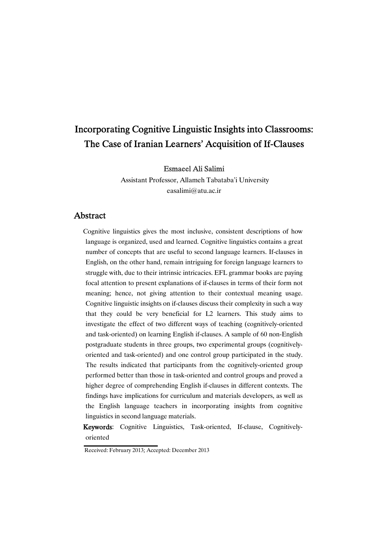# Incorporating Cognitive Linguistic Insights into Classrooms: The Case of Iranian Learners' Acquisition of If-Clauses

EsmaeelAliSalimi

Assistant Professor, Allameh Tabataba'i University easalimi@atu.ac.ir

## Abstract

Cognitive linguistics gives the most inclusive, consistent descriptions of how language is organized, used and learned. Cognitive linguistics contains a great number of concepts that are useful to second language learners. If-clauses in English, on the other hand, remain intriguing for foreign language learners to struggle with, due to their intrinsic intricacies. EFL grammar books are paying focal attention to present explanations of if-clauses in terms of their form not meaning; hence, not giving attention to their contextual meaning usage. Cognitive linguistic insights on if-clauses discuss their complexity in such a way that they could be very beneficial for L2 learners. This study aims to investigate the effect of two different ways of teaching (cognitively-oriented and task-oriented) on learning English if-clauses. A sample of 60 non-English postgraduate students in three groups, two experimental groups (cognitivelyoriented and task-oriented) and one control group participated in the study. The results indicated that participants from the cognitively-oriented group performed better than those in task-oriented and control groups and proved a higher degree of comprehending English if-clauses in different contexts. The findings have implications for curriculum and materials developers, as well as the English language teachers in incorporating insights from cognitive linguistics in second language materials.

Keywords: Cognitive Linguistics, Task-oriented, If-clause, Cognitivelyoriented

Received: February 2013; Accepted: December 2013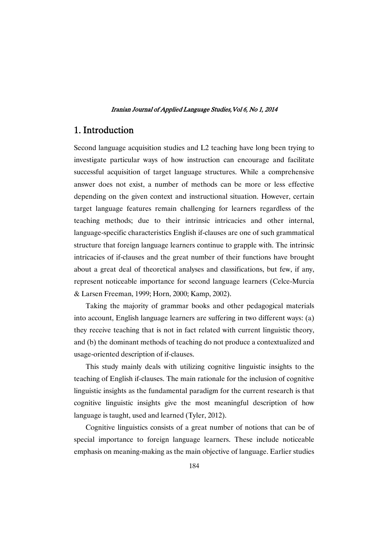# 1. Introduction

Second language acquisition studies and L2 teaching have long been trying to investigate particular ways of how instruction can encourage and facilitate successful acquisition of target language structures. While a comprehensive answer does not exist, a number of methods can be more or less effective depending on the given context and instructional situation. However, certain target language features remain challenging for learners regardless of the teaching methods; due to their intrinsic intricacies and other internal, language-specific characteristics English if-clauses are one of such grammatical structure that foreign language learners continue to grapple with. The intrinsic intricacies of if-clauses and the great number of their functions have brought about a great deal of theoretical analyses and classifications, but few, if any, represent noticeable importance for second language learners (Celce-Murcia & Larsen Freeman, 1999; Horn, 2000; Kamp, 2002).

Taking the majority of grammar books and other pedagogical materials into account, English language learners are suffering in two different ways: (a) they receive teaching that is not in fact related with current linguistic theory, and (b) the dominant methods of teaching do not produce a contextualized and usage-oriented description of if-clauses.

This study mainly deals with utilizing cognitive linguistic insights to the teaching of English if-clauses. The main rationale for the inclusion of cognitive linguistic insights as the fundamental paradigm for the current research is that cognitive linguistic insights give the most meaningful description of how language is taught, used and learned (Tyler, 2012).

Cognitive linguistics consists of a great number of notions that can be of special importance to foreign language learners. These include noticeable emphasis on meaning-making as the main objective of language. Earlier studies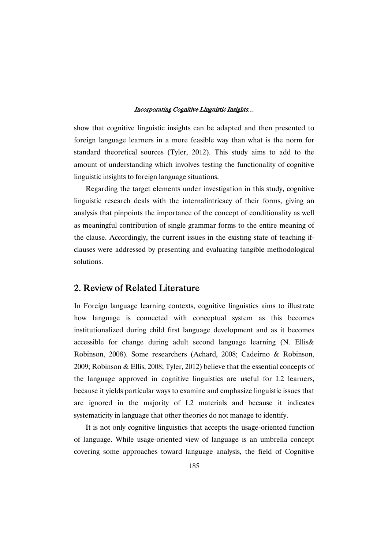show that cognitive linguistic insights can be adapted and then presented to foreign language learners in a more feasible way than what is the norm for standard theoretical sources (Tyler, 2012). This study aims to add to the amount of understanding which involves testing the functionality of cognitive linguistic insights to foreign language situations.

Regarding the target elements under investigation in this study, cognitive linguistic research deals with the internalintricacy of their forms, giving an analysis that pinpoints the importance of the concept of conditionality as well as meaningful contribution of single grammar forms to the entire meaning of the clause. Accordingly, the current issues in the existing state of teaching ifclauses were addressed by presenting and evaluating tangible methodological solutions.

# 2. Review of Related Literature

In Foreign language learning contexts, cognitive linguistics aims to illustrate how language is connected with conceptual system as this becomes institutionalized during child first language development and as it becomes accessible for change during adult second language learning (N. Ellis& Robinson, 2008). Some researchers (Achard, 2008; Cadeirno & Robinson, 2009; Robinson & Ellis, 2008; Tyler, 2012) believe that the essential concepts of the language approved in cognitive linguistics are useful for L2 learners, because it yields particular ways to examine and emphasize linguistic issues that are ignored in the majority of L2 materials and because it indicates systematicity in language that other theories do not manage to identify.

It is not only cognitive linguistics that accepts the usage-oriented function of language. While usage-oriented view of language is an umbrella concept covering some approaches toward language analysis, the field of Cognitive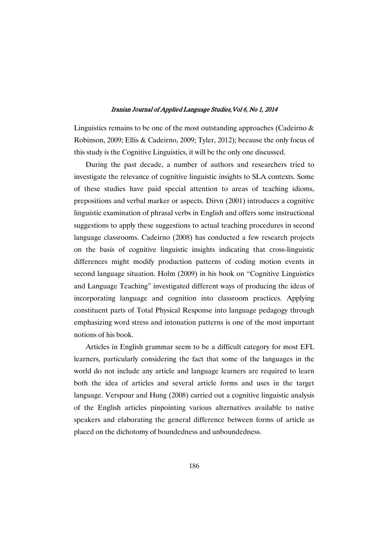Linguistics remains to be one of the most outstanding approaches (Cadeirno & Robinson, 2009; Ellis & Cadeirno, 2009; Tyler, 2012); because the only focus of this study is the Cognitive Linguistics, it will be the only one discussed.

During the past decade, a number of authors and researchers tried to investigate the relevance of cognitive linguistic insights to SLA contexts. Some of these studies have paid special attention to areas of teaching idioms, prepositions and verbal marker or aspects. Dirvn (2001) introduces a cognitive linguistic examination of phrasal verbs in English and offers some instructional suggestions to apply these suggestions to actual teaching procedures in second language classrooms. Cadeirno (2008) has conducted a few research projects on the basis of cognitive linguistic insights indicating that cross-linguistic differences might modify production patterns of coding motion events in second language situation. Holm (2009) in his book on "Cognitive Linguistics and Language Teaching" investigated different ways of producing the ideas of incorporating language and cognition into classroom practices. Applying constituent parts of Total Physical Response into language pedagogy through emphasizing word stress and intonation patterns is one of the most important notions of his book.

Articles in English grammar seem to be a difficult category for most EFL learners, particularly considering the fact that some of the languages in the world do not include any article and language learners are required to learn both the idea of articles and several article forms and uses in the target language. Verspour and Hung (2008) carried out a cognitive linguistic analysis of the English articles pinpointing various alternatives available to native speakers and elaborating the general difference between forms of article as placed on the dichotomy of boundedness and unboundedness.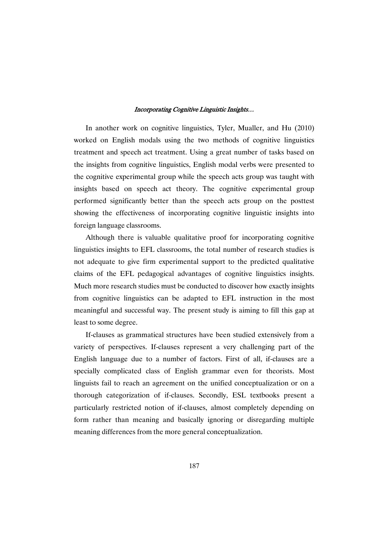In another work on cognitive linguistics, Tyler, Mualler, and Hu (2010) worked on English modals using the two methods of cognitive linguistics treatment and speech act treatment. Using a great number of tasks based on the insights from cognitive linguistics, English modal verbs were presented to the cognitive experimental group while the speech acts group was taught with insights based on speech act theory. The cognitive experimental group performed significantly better than the speech acts group on the posttest showing the effectiveness of incorporating cognitive linguistic insights into foreign language classrooms.

Although there is valuable qualitative proof for incorporating cognitive linguistics insights to EFL classrooms, the total number of research studies is not adequate to give firm experimental support to the predicted qualitative claims of the EFL pedagogical advantages of cognitive linguistics insights. Much more research studies must be conducted to discover how exactly insights from cognitive linguistics can be adapted to EFL instruction in the most meaningful and successful way. The present study is aiming to fill this gap at least to some degree.

If-clauses as grammatical structures have been studied extensively from a variety of perspectives. If-clauses represent a very challenging part of the English language due to a number of factors. First of all, if-clauses are a specially complicated class of English grammar even for theorists. Most linguists fail to reach an agreement on the unified conceptualization or on a thorough categorization of if-clauses. Secondly, ESL textbooks present a particularly restricted notion of if-clauses, almost completely depending on form rather than meaning and basically ignoring or disregarding multiple meaning differences from the more general conceptualization.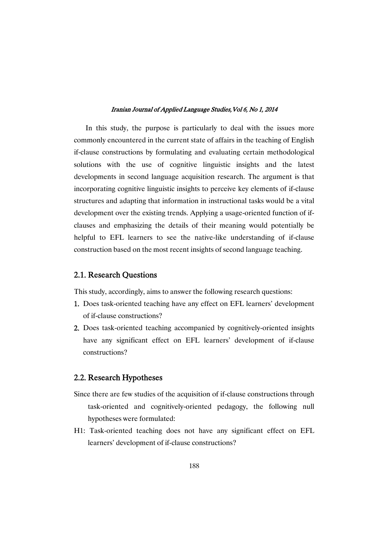In this study, the purpose is particularly to deal with the issues more commonly encountered in the current state of affairs in the teaching of English if-clause constructions by formulating and evaluating certain methodological solutions with the use of cognitive linguistic insights and the latest developments in second language acquisition research. The argument is that incorporating cognitive linguistic insights to perceive key elements of if-clause structures and adapting that information in instructional tasks would be a vital development over the existing trends. Applying a usage-oriented function of ifclauses and emphasizing the details of their meaning would potentially be helpful to EFL learners to see the native-like understanding of if-clause construction based on the most recent insights of second language teaching.

### 2.1. Research Questions

This study, accordingly, aims to answer the following research questions:

- 1. Does task-oriented teaching have any effect on EFL learners' development of if-clause constructions?
- 2. Does task-oriented teaching accompanied by cognitively-oriented insights have any significant effect on EFL learners' development of if-clause constructions?

### 2.2. Research Hypotheses

- Since there are few studies of the acquisition of if-clause constructions through task-oriented and cognitively-oriented pedagogy, the following null hypotheses were formulated:
- H1: Task-oriented teaching does not have any significant effect on EFL learners' development of if-clause constructions?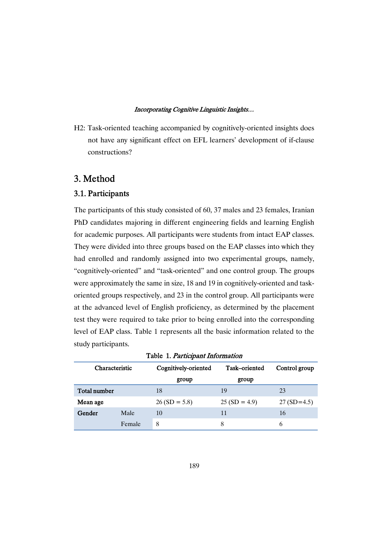H2: Task-oriented teaching accompanied by cognitively-oriented insights does not have any significant effect on EFL learners' development of if-clause constructions?

# 3.Method

### 3.1.Participants

The participants of this study consisted of 60, 37 males and 23 females, Iranian PhD candidates majoring in different engineering fields and learning English for academic purposes. All participants were students from intact EAP classes. They were divided into three groups based on the EAP classes into which they had enrolled and randomly assigned into two experimental groups, namely, "cognitively-oriented" and "task-oriented" and one control group. The groups were approximately the same in size, 18 and 19 in cognitively-oriented and taskoriented groups respectively, and 23 in the control group. All participants were at the advanced level of English proficiency, as determined by the placement test they were required to take prior to being enrolled into the corresponding level of EAP class. Table 1 represents all the basic information related to the study participants.

| Characteristic |        | Cognitively-oriented | Task-oriented  | Control group |  |
|----------------|--------|----------------------|----------------|---------------|--|
|                |        | group                | group          |               |  |
| Total number   |        | 18                   | 19             | 23            |  |
| Mean age       |        | $26(SD = 5.8)$       | $25(SD = 4.9)$ | $27(SD=4.5)$  |  |
| Gender         | Male   | 10                   | 11             | 16            |  |
|                | Female | 8                    | 8              | 6             |  |

|  |  |  |  | Table 1. Participant Information |
|--|--|--|--|----------------------------------|
|--|--|--|--|----------------------------------|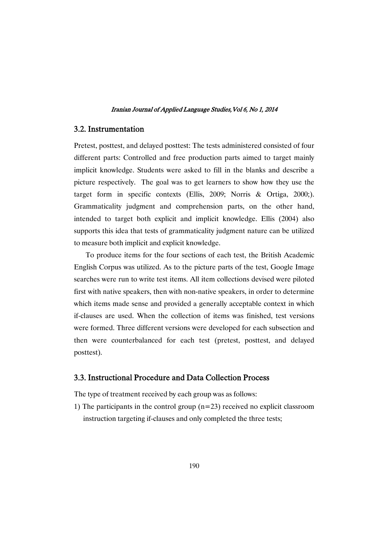### 3.2.Instrumentation

Pretest, posttest, and delayed posttest: The tests administered consisted of four different parts: Controlled and free production parts aimed to target mainly implicit knowledge. Students were asked to fill in the blanks and describe a picture respectively. The goal was to get learners to show how they use the target form in specific contexts (Ellis, 2009; Norris & Ortiga, 2000;). Grammaticality judgment and comprehension parts, on the other hand, intended to target both explicit and implicit knowledge. Ellis (2004) also supports this idea that tests of grammaticality judgment nature can be utilized to measure both implicit and explicit knowledge.

To produce items for the four sections of each test, the British Academic English Corpus was utilized. As to the picture parts of the test, Google Image searches were run to write test items. All item collections devised were piloted first with native speakers, then with non-native speakers, in order to determine which items made sense and provided a generally acceptable context in which if-clauses are used. When the collection of items was finished, test versions were formed. Three different versions were developed for each subsection and then were counterbalanced for each test (pretest, posttest, and delayed posttest).

### 3.3. Instructional Procedure and Data Collection Process

The type of treatment received by each group was as follows:

1) The participants in the control group  $(n=23)$  received no explicit classroom instruction targeting if-clauses and only completed the three tests;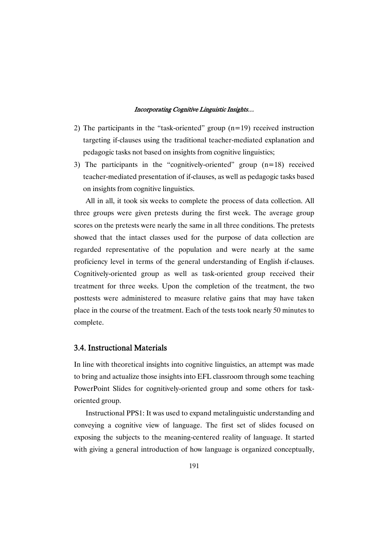- 2) The participants in the "task-oriented" group (n=19) received instruction targeting if-clauses using the traditional teacher-mediated explanation and pedagogic tasks not based on insights from cognitive linguistics;
- 3) The participants in the "cognitively-oriented" group  $(n=18)$  received teacher-mediated presentation of if-clauses, as well as pedagogic tasks based on insights from cognitive linguistics.

All in all, it took six weeks to complete the process of data collection. All three groups were given pretests during the first week. The average group scores on the pretests were nearly the same in all three conditions. The pretests showed that the intact classes used for the purpose of data collection are regarded representative of the population and were nearly at the same proficiency level in terms of the general understanding of English if-clauses. Cognitively-oriented group as well as task-oriented group received their treatment for three weeks. Upon the completion of the treatment, the two posttests were administered to measure relative gains that may have taken place in the course of the treatment. Each of the tests took nearly 50 minutes to complete.

### 3.4.InstructionalMaterials

In line with theoretical insights into cognitive linguistics, an attempt was made to bring and actualize those insights into EFL classroom through some teaching PowerPoint Slides for cognitively-oriented group and some others for taskoriented group.

Instructional PPS1: It was used to expand metalinguistic understanding and conveying a cognitive view of language. The first set of slides focused on exposing the subjects to the meaning-centered reality of language. It started with giving a general introduction of how language is organized conceptually,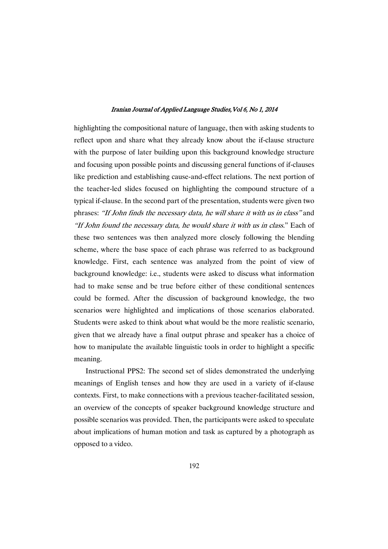highlighting the compositional nature of language, then with asking students to reflect upon and share what they already know about the if-clause structure with the purpose of later building upon this background knowledge structure and focusing upon possible points and discussing general functions of if-clauses like prediction and establishing cause-and-effect relations. The next portion of the teacher-led slides focused on highlighting the compound structure of a typical if-clause. In the second part of the presentation, students were given two phrases: "If John finds the necessary data, he will share it with us in class" and "If John found the necessary data, he would share it with us in class." Each of these two sentences was then analyzed more closely following the blending scheme, where the base space of each phrase was referred to as background knowledge. First, each sentence was analyzed from the point of view of background knowledge: i.e., students were asked to discuss what information had to make sense and be true before either of these conditional sentences could be formed. After the discussion of background knowledge, the two scenarios were highlighted and implications of those scenarios elaborated. Students were asked to think about what would be the more realistic scenario, given that we already have a final output phrase and speaker has a choice of how to manipulate the available linguistic tools in order to highlight a specific meaning.

Instructional PPS2: The second set of slides demonstrated the underlying meanings of English tenses and how they are used in a variety of if-clause contexts. First, to make connections with a previous teacher-facilitated session, an overview of the concepts of speaker background knowledge structure and possible scenarios was provided. Then, the participants were asked to speculate about implications of human motion and task as captured by a photograph as opposed to a video.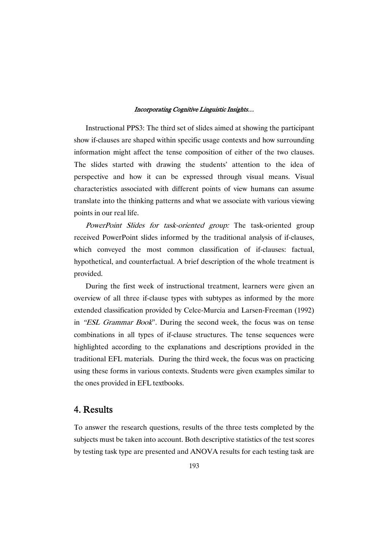Instructional PPS3: The third set of slides aimed at showing the participant show if-clauses are shaped within specific usage contexts and how surrounding information might affect the tense composition of either of the two clauses. The slides started with drawing the students' attention to the idea of perspective and how it can be expressed through visual means. Visual characteristics associated with different points of view humans can assume translate into the thinking patterns and what we associate with various viewing points in our real life.

PowerPoint Slides for task-oriented group: The task-oriented group received PowerPoint slides informed by the traditional analysis of if-clauses, which conveyed the most common classification of if-clauses: factual, hypothetical, and counterfactual. A brief description of the whole treatment is provided.

During the first week of instructional treatment, learners were given an overview of all three if-clause types with subtypes as informed by the more extended classification provided by Celce-Murcia and Larsen-Freeman (1992) in "ESL Grammar Book". During the second week, the focus was on tense combinations in all types of if-clause structures. The tense sequences were highlighted according to the explanations and descriptions provided in the traditional EFL materials. During the third week, the focus was on practicing using these forms in various contexts. Students were given examples similar to the ones provided in EFL textbooks.

# 4.Results

To answer the research questions, results of the three tests completed by the subjects must be taken into account. Both descriptive statistics of the test scores by testing task type are presented and ANOVA results for each testing task are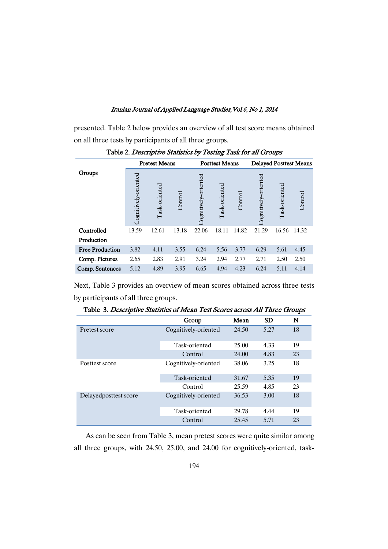presented. Table 2 below provides an overview of all test score means obtained on all three tests by participants of all three groups.

|                        |                      | <b>Pretest Means</b> |         |                      | <b>Posttest Means</b> |         |                      |               | <b>Delayed Posttest Means</b> |
|------------------------|----------------------|----------------------|---------|----------------------|-----------------------|---------|----------------------|---------------|-------------------------------|
| Groups                 | Cognitively-oriented | Task-oriented        | Control | Cognitively-oriented | Task-oriented         | Control | Cognitively-oriented | Task-oriented | Control                       |
| Controlled             | 13.59                | 12.61                | 13.18   | 22.06                | 18.11                 | 14.82   | 21.29                | 16.56         | 14.32                         |
| Production             |                      |                      |         |                      |                       |         |                      |               |                               |
| <b>Free Production</b> | 3.82                 | 4.11                 | 3.55    | 6.24                 | 5.56                  | 3.77    | 6.29                 | 5.61          | 4.45                          |
| Comp. Pictures         | 2.65                 | 2.83                 | 2.91    | 3.24                 | 2.94                  | 2.77    | 2.71                 | 2.50          | 2.50                          |
| Comp. Sentences        | 5.12                 | 4.89                 | 3.95    | 6.65                 | 4.94                  | 4.23    | 6.24                 | 5.11          | 4.14                          |

Table 2. Descriptive Statistics by Testing Task for all Groups

Next, Table 3 provides an overview of mean scores obtained across three tests by participants of all three groups.

|                        | Group                | Mean  | <b>SD</b> | N  |
|------------------------|----------------------|-------|-----------|----|
| Pretest score          | Cognitively-oriented | 24.50 | 5.27      | 18 |
|                        | Task-oriented        | 25.00 | 4.33      | 19 |
|                        | Control              | 24.00 | 4.83      | 23 |
| Posttest score         | Cognitively-oriented | 38.06 | 3.25      | 18 |
|                        | Task-oriented        | 31.67 | 5.35      | 19 |
|                        | Control              | 25.59 | 4.85      | 23 |
| Delayed posttest score | Cognitively-oriented | 36.53 | 3.00      | 18 |
|                        | Task-oriented        | 29.78 | 4.44      | 19 |
|                        | Control              | 25.45 | 5.71      | 23 |

Table 3. Descriptive Statistics of Mean Test Scores across All Three Groups

As can be seen from Table 3, mean pretest scores were quite similar among all three groups, with 24.50, 25.00, and 24.00 for cognitively-oriented, task-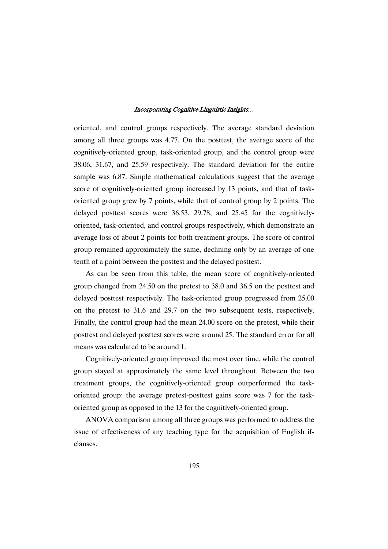oriented, and control groups respectively. The average standard deviation among all three groups was 4.77. On the posttest, the average score of the cognitively-oriented group, task-oriented group, and the control group were 38.06, 31.67, and 25.59 respectively. The standard deviation for the entire sample was 6.87. Simple mathematical calculations suggest that the average score of cognitively-oriented group increased by 13 points, and that of taskoriented group grew by 7 points, while that of control group by 2 points. The delayed posttest scores were 36.53, 29.78, and 25.45 for the cognitivelyoriented, task-oriented, and control groups respectively, which demonstrate an average loss of about 2 points for both treatment groups. The score of control group remained approximately the same, declining only by an average of one tenth of a point between the posttest and the delayed posttest.

As can be seen from this table, the mean score of cognitively-oriented group changed from 24.50 on the pretest to 38.0 and 36.5 on the posttest and delayed posttest respectively. The task-oriented group progressed from 25.00 on the pretest to 31.6 and 29.7 on the two subsequent tests, respectively. Finally, the control group had the mean 24.00 score on the pretest, while their posttest and delayed posttest scores were around 25. The standard error for all means was calculated to be around 1.

Cognitively-oriented group improved the most over time, while the control group stayed at approximately the same level throughout. Between the two treatment groups, the cognitively-oriented group outperformed the taskoriented group: the average pretest-posttest gains score was 7 for the taskoriented group as opposed to the 13 for the cognitively-oriented group.

ANOVA comparison among all three groups was performed to address the issue of effectiveness of any teaching type for the acquisition of English ifclauses.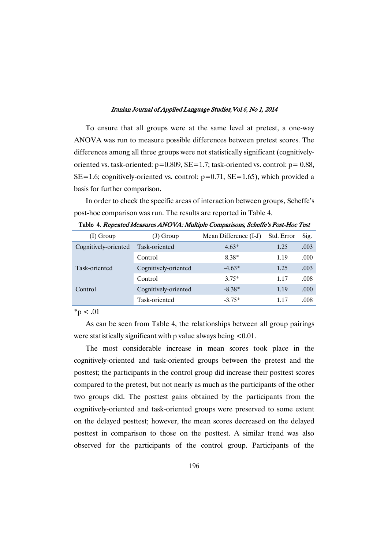To ensure that all groups were at the same level at pretest, a one-way ANOVA was run to measure possible differences between pretest scores. The differences among all three groups were not statistically significant (cognitivelyoriented vs. task-oriented:  $p=0.809$ ,  $SE=1.7$ ; task-oriented vs. control:  $p=0.88$ ,  $SE=1.6$ ; cognitively-oriented vs. control:  $p=0.71$ ,  $SE=1.65$ ), which provided a basis for further comparison.

In order to check the specific areas of interaction between groups, Scheffe's post-hoc comparison was run. The results are reported in Table 4.

| $(I)$ Group          | (J) Group            | Mean Difference (I-J) | Std. Error | Sig. |
|----------------------|----------------------|-----------------------|------------|------|
| Cognitively-oriented | Task-oriented        | $4.63*$               | 1.25       | .003 |
|                      | Control              | 8.38*                 | 1.19       | .000 |
| Task-oriented        | Cognitively-oriented | $-4.63*$              | 1.25       | .003 |
|                      | Control              | $3.75*$               | 1.17       | .008 |
| Control              | Cognitively-oriented | $-8.38*$              | 1.19       | .000 |
|                      | Task-oriented        | $-3.75*$              | 1.17       | .008 |

Table 4. Repeated Measures ANOVA: Multiple Comparisons, Scheffe's Post-Hoc Test

 $*_{p} < .01$ 

As can be seen from Table 4, the relationships between all group pairings were statistically significant with p value always being  $\leq 0.01$ .

The most considerable increase in mean scores took place in the cognitively-oriented and task-oriented groups between the pretest and the posttest; the participants in the control group did increase their posttest scores compared to the pretest, but not nearly as much as the participants of the other two groups did. The posttest gains obtained by the participants from the cognitively-oriented and task-oriented groups were preserved to some extent on the delayed posttest; however, the mean scores decreased on the delayed posttest in comparison to those on the posttest. A similar trend was also observed for the participants of the control group. Participants of the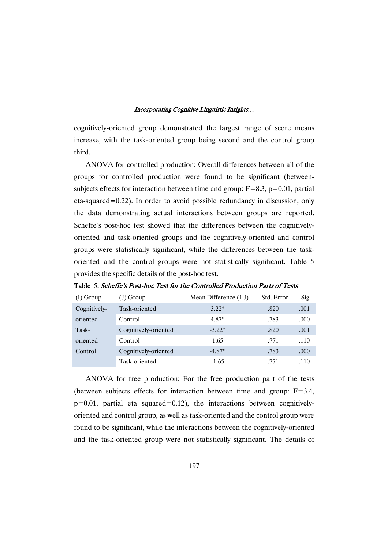cognitively-oriented group demonstrated the largest range of score means increase, with the task-oriented group being second and the control group third.

ANOVA for controlled production: Overall differences between all of the groups for controlled production were found to be significant (betweensubjects effects for interaction between time and group:  $F=8.3$ ,  $p=0.01$ , partial eta-squared=0.22). In order to avoid possible redundancy in discussion, only the data demonstrating actual interactions between groups are reported. Scheffe's post-hoc test showed that the differences between the cognitivelyoriented and task-oriented groups and the cognitively-oriented and control groups were statistically significant, while the differences between the taskoriented and the control groups were not statistically significant. Table 5 provides the specific details of the post-hoc test.

| $(I)$ Group  | (J) Group            | Mean Difference (I-J) | Std. Error | Sig. |
|--------------|----------------------|-----------------------|------------|------|
| Cognitively- | Task-oriented        | $3.22*$               | .820       | .001 |
| oriented     | Control              | 4.87*                 | .783       | .000 |
| Task-        | Cognitively-oriented | $-3.22*$              | .820       | .001 |
| oriented     | Control              | 1.65                  | .771       | .110 |
| Control      | Cognitively-oriented | $-4.87*$              | .783       | .000 |
|              | Task-oriented        | $-1.65$               | .771       | -110 |

Table 5. Scheffe's Post-hoc Test for the Controlled Production Parts of Tests

ANOVA for free production: For the free production part of the tests (between subjects effects for interaction between time and group: F=3.4,  $p=0.01$ , partial eta squared=0.12), the interactions between cognitivelyoriented and control group, as well as task-oriented and the control group were found to be significant, while the interactions between the cognitively-oriented and the task-oriented group were not statistically significant. The details of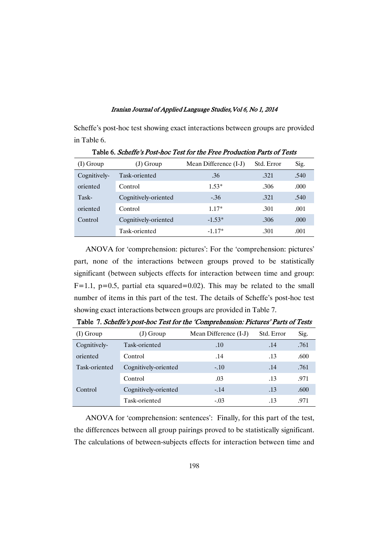Scheffe's post-hoc test showing exact interactions between groups are provided in Table 6.

| $(I)$ Group  | (J) Group            | Mean Difference (I-J) | Std. Error | Sig.  |
|--------------|----------------------|-----------------------|------------|-------|
| Cognitively- | Task-oriented        | .36                   | .321       | .540  |
| oriented     | Control              | $1.53*$               | .306       | .000. |
| Task-        | Cognitively-oriented | $-.36$                | .321       | .540  |
| oriented     | Control              | $1.17*$               | .301       | .001  |
| Control      | Cognitively-oriented | $-1.53*$              | .306       | .000  |
|              | Task-oriented        | $-1.17*$              | .301       | .001  |

Table 6. Scheffe's Post-hoc Test for the Free Production Parts of Tests

ANOVA for 'comprehension: pictures': For the 'comprehension: pictures' part, none of the interactions between groups proved to be statistically significant (between subjects effects for interaction between time and group:  $F=1.1$ ,  $p=0.5$ , partial eta squared=0.02). This may be related to the small number of items in this part of the test. The details of Scheffe's post-hoc test showing exact interactions between groups are provided in Table 7.

| $(I)$ Group   | (J) Group            | Mean Difference (I-J) | Std. Error | Sig. |
|---------------|----------------------|-----------------------|------------|------|
| Cognitively-  | Task-oriented        | .10                   | .14        | .761 |
| oriented      | Control              | .14                   | .13        | .600 |
| Task-oriented | Cognitively-oriented | $-.10$                | .14        | .761 |
|               | Control              | .03                   | .13        | .971 |
| Control       | Cognitively-oriented | $-.14$                | .13        | .600 |
|               | Task-oriented        | $-.03$                | .13        | .971 |

Table 7. Scheffe's post-hoc Test for the 'Comprehension: Pictures' Parts of Tests

ANOVA for 'comprehension: sentences': Finally, for this part of the test, the differences between all group pairings proved to be statistically significant. The calculations of between-subjects effects for interaction between time and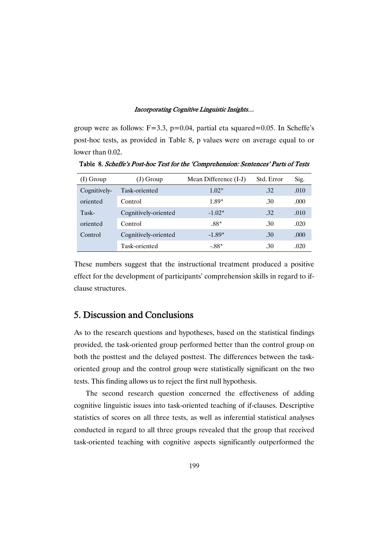group were as follows:  $F=3.3$ ,  $p=0.04$ , partial eta squared=0.05. In Scheffe's post-hoc tests, as provided in Table 8, p values were on average equal to or lower than 0.02.

| $(I)$ Group  | (J) Group            | Mean Difference (I-J) | Std. Error | Sig. |
|--------------|----------------------|-----------------------|------------|------|
| Cognitively- | Task-oriented        | $1.02*$               | .32        | .010 |
| oriented     | Control              | 1.89*                 | .30        | .000 |
| Task-        | Cognitively-oriented | $-1.02*$              | .32        | .010 |
| oriented     | Control              | $.88*$                | .30        | .020 |
| Control      | Cognitively-oriented | $-1.89*$              | .30        | .000 |
|              | Task-oriented        | $-.88*$               | .30        | .020 |

Table 8. Scheffe's Post-hoc Test for the 'Comprehension: Sentences' Parts of Tests

These numbers suggest that the instructional treatment produced a positive effect for the development of participants' comprehension skills in regard to ifclause structures.

# 5. Discussion and Conclusions

As to the research questions and hypotheses, based on the statistical findings provided, the task-oriented group performed better than the control group on both the posttest and the delayed posttest. The differences between the taskoriented group and the control group were statistically significant on the two tests. This finding allows us to reject the first null hypothesis.

The second research question concerned the effectiveness of adding cognitive linguistic issues into task-oriented teaching of if-clauses. Descriptive statistics of scores on all three tests, as well as inferential statistical analyses conducted in regard to all three groups revealed that the group that received task-oriented teaching with cognitive aspects significantly outperformed the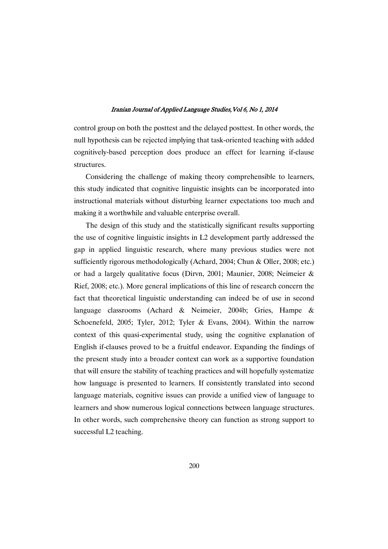control group on both the posttest and the delayed posttest. In other words, the null hypothesis can be rejected implying that task-oriented teaching with added cognitively-based perception does produce an effect for learning if-clause structures.

Considering the challenge of making theory comprehensible to learners, this study indicated that cognitive linguistic insights can be incorporated into instructional materials without disturbing learner expectations too much and making it a worthwhile and valuable enterprise overall.

The design of this study and the statistically significant results supporting the use of cognitive linguistic insights in L2 development partly addressed the gap in applied linguistic research, where many previous studies were not sufficiently rigorous methodologically (Achard, 2004; Chun & Oller, 2008; etc.) or had a largely qualitative focus (Dirvn, 2001; Maunier, 2008; Neimeier & Rief, 2008; etc.). More general implications of this line of research concern the fact that theoretical linguistic understanding can indeed be of use in second language classrooms (Achard & Neimeier, 2004b; Gries, Hampe & Schoenefeld, 2005; Tyler, 2012; Tyler & Evans, 2004). Within the narrow context of this quasi-experimental study, using the cognitive explanation of English if-clauses proved to be a fruitful endeavor. Expanding the findings of the present study into a broader context can work as a supportive foundation that will ensure the stability of teaching practices and will hopefully systematize how language is presented to learners. If consistently translated into second language materials, cognitive issues can provide a unified view of language to learners and show numerous logical connections between language structures. In other words, such comprehensive theory can function as strong support to successful L2 teaching.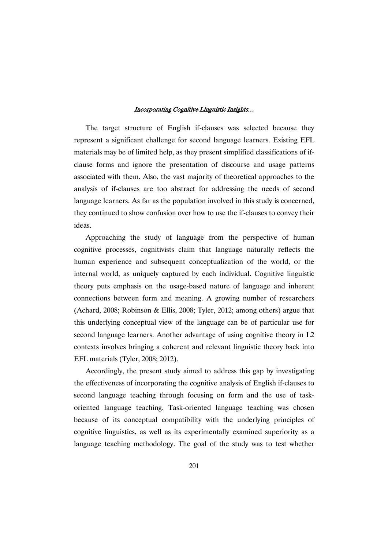The target structure of English if-clauses was selected because they represent a significant challenge for second language learners. Existing EFL materials may be of limited help, as they present simplified classifications of ifclause forms and ignore the presentation of discourse and usage patterns associated with them. Also, the vast majority of theoretical approaches to the analysis of if-clauses are too abstract for addressing the needs of second language learners. As far as the population involved in this study is concerned, they continued to show confusion over how to use the if-clauses to convey their ideas.

Approaching the study of language from the perspective of human cognitive processes, cognitivists claim that language naturally reflects the human experience and subsequent conceptualization of the world, or the internal world, as uniquely captured by each individual. Cognitive linguistic theory puts emphasis on the usage-based nature of language and inherent connections between form and meaning. A growing number of researchers (Achard, 2008; Robinson & Ellis, 2008; Tyler, 2012; among others) argue that this underlying conceptual view of the language can be of particular use for second language learners. Another advantage of using cognitive theory in L2 contexts involves bringing a coherent and relevant linguistic theory back into EFL materials (Tyler, 2008; 2012).

Accordingly, the present study aimed to address this gap by investigating the effectiveness of incorporating the cognitive analysis of English if-clauses to second language teaching through focusing on form and the use of taskoriented language teaching. Task-oriented language teaching was chosen because of its conceptual compatibility with the underlying principles of cognitive linguistics, as well as its experimentally examined superiority as a language teaching methodology. The goal of the study was to test whether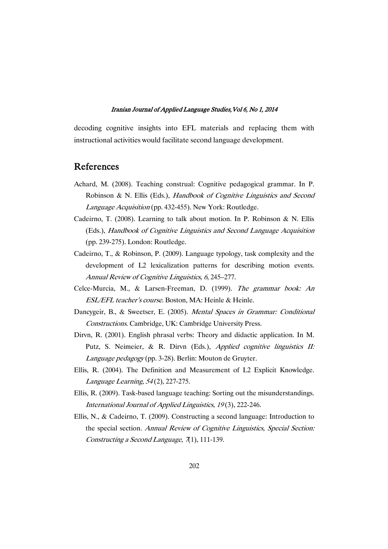decoding cognitive insights into EFL materials and replacing them with instructional activities would facilitate second language development.

# References

- Achard, M. (2008). Teaching construal: Cognitive pedagogical grammar. In P. Robinson & N. Ellis (Eds.), Handbook of Cognitive Linguistics and Second Language Acquisition (pp. 432-455). New York: Routledge.
- Cadeirno, T. (2008). Learning to talk about motion. In P. Robinson & N. Ellis (Eds.), Handbook of Cognitive Linguistics and Second Language Acquisition (pp. 239-275). London: Routledge.
- Cadeirno, T., & Robinson, P. (2009). Language typology, task complexity and the development of L2 lexicalization patterns for describing motion events. Annual Review of Cognitive Linguistics, <sup>6</sup>, 245–277.
- Celce-Murcia, M., & Larsen-Freeman, D. (1999). The grammar book: An ESL/EFL teacher's course. Boston, MA: Heinle & Heinle.
- Dancygeir, B., & Sweetser, E. (2005). Mental Spaces in Grammar: Conditional Constructions. Cambridge, UK: Cambridge University Press.
- Dirvn, R. (2001). English phrasal verbs: Theory and didactic application. In M. Putz, S. Neimeier, & R. Dirvn (Eds.), Applied cognitive linguistics II: Language pedagogy (pp. 3-28). Berlin: Mouton de Gruyter.
- Ellis, R. (2004). The Definition and Measurement of L2 Explicit Knowledge. Language Learning, <sup>54</sup> (2), 227-275.
- Ellis, R. (2009). Task-based language teaching: Sorting out the misunderstandings. International Journal of Applied Linguistics, <sup>19</sup> (3), 222-246.
- Ellis, N., & Cadeirno, T. (2009). Constructing a second language: Introduction to the special section. Annual Review of Cognitive Linguistics, Special Section: Constructing a Second Language,  $(71)$ , 111-139.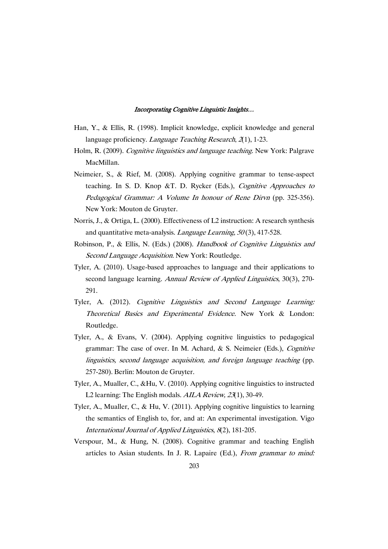- Han, Y., & Ellis, R. (1998). Implicit knowledge, explicit knowledge and general language proficiency. *Language Teaching Research*, 2(1), 1-23.
- Holm, R. (2009). Cognitive linguistics and language teaching. New York: Palgrave MacMillan.
- Neimeier, S., & Rief, M. (2008). Applying cognitive grammar to tense-aspect teaching. In S. D. Knop &T. D. Rycker (Eds.), Cognitive Approaches to Pedagogical Grammar: <sup>A</sup> Volume In honour of Rene Dirvn (pp. 325-356). New York: Mouton de Gruyter.
- Norris, J., & Ortiga, L. (2000). Effectiveness of L2 instruction: A research synthesis and quantitative meta-analysis. *Language Learning*,  $50(3)$ , 417-528.
- Robinson, P., & Ellis, N. (Eds.) (2008). Handbook of Cognitive Linguistics and Second Language Acquisition. New York: Routledge.
- Tyler, A. (2010). Usage-based approaches to language and their applications to second language learning. Annual Review of Applied Linguistics, 30(3), 270-291.
- Tyler, A. (2012). Cognitive Linguistics and Second Language Learning: Theoretical Basics and Experimental Evidence. New York & London: Routledge.
- Tyler, A., & Evans, V. (2004). Applying cognitive linguistics to pedagogical grammar: The case of over. In M. Achard, & S. Neimeier (Eds.), Cognitive linguistics, second language acquisition, and foreign language teaching (pp. 257-280). Berlin: Mouton de Gruyter.
- Tyler, A., Mualler, C., &Hu, V. (2010). Applying cognitive linguistics to instructed L2 learning: The English modals. AILA Review, 23(1), 30-49.
- Tyler, A., Mualler, C., & Hu, V. (2011). Applying cognitive linguistics to learning the semantics of English to, for, and at: An experimental investigation. Vigo International Journal of Applied Linguistics, <sup>8</sup>(2), 181-205.
- Verspour, M., & Hung, N. (2008). Cognitive grammar and teaching English articles to Asian students. In J. R. Lapaire (Ed.), From grammar to mind: